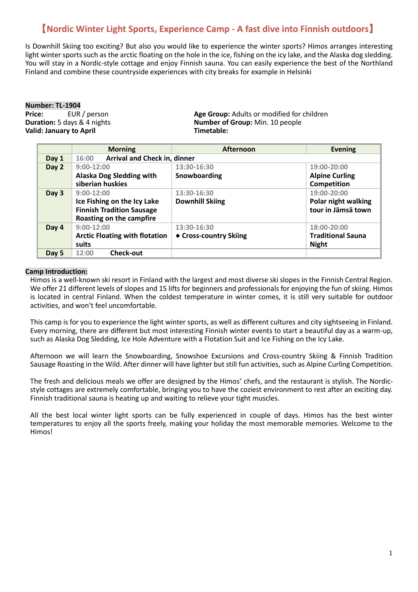# 【**Nordic Winter Light Sports, Experience Camp - A fast dive into Finnish outdoors**】

Is Downhill Skiing too exciting? But also you would like to experience the winter sports? Himos arranges interesting light winter sports such as the arctic floating on the hole in the ice, fishing on the icy lake, and the Alaska dog sledding. You will stay in a Nordic-style cottage and enjoy Finnish sauna. You can easily experience the best of the Northland Finland and combine these countryside experiences with city breaks for example in Helsinki

**Number: TL-1904**<br>**Price:** EUR / person **Valid: January to April** 

**Price:** EUR / person **Age Group:** Adults or modified for children **Duration:** 5 days & 4 nights **Age Group:** Nim. 10 people **Number of Group:** Min. 10 people<br>Timetable:

|       | <b>Morning</b>                        | <b>Afternoon</b>       | <b>Evening</b>           |
|-------|---------------------------------------|------------------------|--------------------------|
| Day 1 | Arrival and Check in, dinner<br>16:00 |                        |                          |
| Day 2 | $9:00-12:00$                          | 13:30-16:30            | 19:00-20:00              |
|       | Alaska Dog Sledding with              | Snowboarding           | <b>Alpine Curling</b>    |
|       | siberian huskies                      |                        | Competition              |
| Day 3 | $9:00-12:00$                          | 13:30-16:30            | 19:00-20:00              |
|       | Ice Fishing on the Icy Lake           | <b>Downhill Skiing</b> | Polar night walking      |
|       | <b>Finnish Tradition Sausage</b>      |                        | tour in Jämsä town       |
|       | Roasting on the campfire              |                        |                          |
| Day 4 | $9:00-12:00$                          | 13:30-16:30            | 18:00-20:00              |
|       | <b>Arctic Floating with flotation</b> | • Cross-country Skiing | <b>Traditional Sauna</b> |
|       | suits                                 |                        | <b>Night</b>             |
| Day 5 | <b>Check-out</b><br>12:00             |                        |                          |

#### **Camp Introduction:**

Himos is a well-known ski resort in Finland with the largest and most diverse ski slopes in the Finnish Central Region. We offer 21 different levels of slopes and 15 lifts for beginners and professionals for enjoying the fun of skiing. Himos is located in central Finland. When the coldest temperature in winter comes, it is still very suitable for outdoor activities, and won't feel uncomfortable.

This camp is for you to experience the light winter sports, as well as different cultures and city sightseeing in Finland. Every morning, there are different but most interesting Finnish winter events to start a beautiful day as a warm-up, such as Alaska Dog Sledding, Ice Hole Adventure with a Flotation Suit and Ice Fishing on the Icy Lake.

Afternoon we will learn the Snowboarding, Snowshoe Excursions and Cross-country Skiing & Finnish Tradition Sausage Roasting in the Wild. After dinner will have lighter but still fun activities, such as Alpine Curling Competition.

The fresh and delicious meals we offer are designed by the Himos' chefs, and the restaurant is stylish. The Nordicstyle cottages are extremely comfortable, bringing you to have the coziest environment to rest after an exciting day. Finnish traditional sauna is heating up and waiting to relieve your tight muscles.

All the best local winter light sports can be fully experienced in couple of days. Himos has the best winter temperatures to enjoy all the sports freely, making your holiday the most memorable memories. Welcome to the Himos!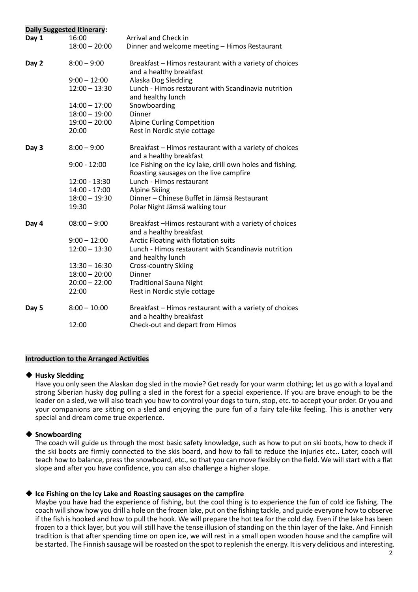|       | <b>Daily Suggested Itinerary:</b> |                                                                                                     |
|-------|-----------------------------------|-----------------------------------------------------------------------------------------------------|
| Day 1 | 16:00                             | Arrival and Check in                                                                                |
|       | $18:00 - 20:00$                   | Dinner and welcome meeting - Himos Restaurant                                                       |
| Day 2 | $8:00 - 9:00$                     | Breakfast - Himos restaurant with a variety of choices<br>and a healthy breakfast                   |
|       | $9:00 - 12:00$                    | Alaska Dog Sledding                                                                                 |
|       | $12:00 - 13:30$                   | Lunch - Himos restaurant with Scandinavia nutrition<br>and healthy lunch                            |
|       | $14:00 - 17:00$                   | Snowboarding                                                                                        |
|       | $18:00 - 19:00$                   | <b>Dinner</b>                                                                                       |
|       | $19:00 - 20:00$                   | <b>Alpine Curling Competition</b>                                                                   |
|       | 20:00                             | Rest in Nordic style cottage                                                                        |
| Day 3 | $8:00 - 9:00$                     | Breakfast - Himos restaurant with a variety of choices<br>and a healthy breakfast                   |
|       | $9:00 - 12:00$                    | Ice Fishing on the icy lake, drill own holes and fishing.<br>Roasting sausages on the live campfire |
|       | 12:00 - 13:30                     | Lunch - Himos restaurant                                                                            |
|       | 14:00 - 17:00                     | <b>Alpine Skiing</b>                                                                                |
|       | $18:00 - 19:30$                   | Dinner - Chinese Buffet in Jämsä Restaurant                                                         |
|       | 19:30                             | Polar Night Jämsä walking tour                                                                      |
| Day 4 | $08:00 - 9:00$                    | Breakfast -Himos restaurant with a variety of choices<br>and a healthy breakfast                    |
|       | $9:00 - 12:00$                    | Arctic Floating with flotation suits                                                                |
|       | $12:00 - 13:30$                   | Lunch - Himos restaurant with Scandinavia nutrition<br>and healthy lunch                            |
|       | $13:30 - 16:30$                   | <b>Cross-country Skiing</b>                                                                         |
|       | $18:00 - 20:00$                   | <b>Dinner</b>                                                                                       |
|       | $20:00 - 22:00$                   | <b>Traditional Sauna Night</b>                                                                      |
|       | 22:00                             | Rest in Nordic style cottage                                                                        |
| Day 5 | $8:00 - 10:00$                    | Breakfast - Himos restaurant with a variety of choices                                              |
|       | 12:00                             | and a healthy breakfast<br>Check-out and depart from Himos                                          |
|       |                                   |                                                                                                     |

# **Introduction to the Arranged Activities**

#### ◆ **Husky Sledding**

Have you only seen the Alaskan dog sled in the movie? Get ready for your warm clothing; let us go with a loyal and strong Siberian husky dog pulling a sled in the forest for a special experience. If you are brave enough to be the leader on a sled, we will also teach you how to control your dogs to turn, stop, etc. to accept your order. Or you and your companions are sitting on a sled and enjoying the pure fun of a fairy tale-like feeling. This is another very special and dream come true experience.

# ◆ **Snowboarding**

The coach will guide us through the most basic safety knowledge, such as how to put on ski boots, how to check if the ski boots are firmly connected to the skis board, and how to fall to reduce the injuries etc.. Later, coach will teach how to balance, press the snowboard, etc., so that you can move flexibly on the field. We will start with a flat slope and after you have confidence, you can also challenge a higher slope.

# ◆ **Ice Fishing on the Icy Lake and Roasting sausages on the campfire**

Maybe you have had the experience of fishing, but the cool thing is to experience the fun of cold ice fishing. The coach will show how you drill a hole on the frozen lake, put on the fishing tackle, and guide everyone how to observe if the fish is hooked and how to pull the hook. We will prepare the hot tea for the cold day. Even if the lake has been frozen to a thick layer, but you will still have the tense illusion of standing on the thin layer of the lake. And Finnish tradition is that after spending time on open ice, we will rest in a small open wooden house and the campfire will be started. The Finnish sausage will be roasted on the spot to replenish the energy. It is very delicious and interesting.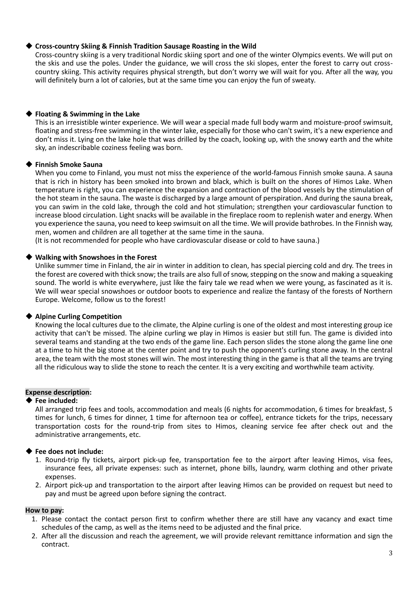# ◆ **Cross-country Skiing & Finnish Tradition Sausage Roasting in the Wild**

Cross-country skiing is a very traditional Nordic skiing sport and one of the winter Olympics events. We will put on the skis and use the poles. Under the guidance, we will cross the ski slopes, enter the forest to carry out crosscountry skiing. This activity requires physical strength, but don't worry we will wait for you. After all the way, you will definitely burn a lot of calories, but at the same time you can enjoy the fun of sweaty.

# ◆ **Floating & Swimming in the Lake**

This is an irresistible winter experience. We will wear a special made full body warm and moisture-proof swimsuit, floating and stress-free swimming in the winter lake, especially for those who can't swim, it's a new experience and don't miss it. Lying on the lake hole that was drilled by the coach, looking up, with the snowy earth and the white sky, an indescribable coziness feeling was born.

# ◆ **Finnish Smoke Sauna**

When you come to Finland, you must not miss the experience of the world-famous Finnish smoke sauna. A sauna that is rich in history has been smoked into brown and black, which is built on the shores of Himos Lake. When temperature is right, you can experience the expansion and contraction of the blood vessels by the stimulation of the hot steam in the sauna. The waste is discharged by a large amount of perspiration. And during the sauna break, you can swim in the cold lake, through the cold and hot stimulation; strengthen your cardiovascular function to increase blood circulation. Light snacks will be available in the fireplace room to replenish water and energy. When you experience the sauna, you need to keep swimsuit on all the time. We will provide bathrobes. In the Finnish way, men, women and children are all together at the same time in the sauna.

(It is not recommended for people who have cardiovascular disease or cold to have sauna.)

# ◆ **Walking with Snowshoes in the Forest**

Unlike summer time in Finland, the air in winter in addition to clean, has special piercing cold and dry. The trees in the forest are covered with thick snow; the trails are also full of snow, stepping on the snow and making a squeaking sound. The world is white everywhere, just like the fairy tale we read when we were young, as fascinated as it is. We will wear special snowshoes or outdoor boots to experience and realize the fantasy of the forests of Northern Europe. Welcome, follow us to the forest!

# ◆ **Alpine Curling Competition**

Knowing the local cultures due to the climate, the Alpine curling is one of the oldest and most interesting group ice activity that can't be missed. The alpine curling we play in Himos is easier but still fun. The game is divided into several teams and standing at the two ends of the game line. Each person slides the stone along the game line one at a time to hit the big stone at the center point and try to push the opponent's curling stone away. In the central area, the team with the most stones will win. The most interesting thing in the game is that all the teams are trying all the ridiculous way to slide the stone to reach the center. It is a very exciting and worthwhile team activity.

#### **Expense description:**

#### ◆ **Fee included:**

All arranged trip fees and tools, accommodation and meals (6 nights for accommodation, 6 times for breakfast, 5 times for lunch, 6 times for dinner, 1 time for afternoon tea or coffee), entrance tickets for the trips, necessary transportation costs for the round-trip from sites to Himos, cleaning service fee after check out and the administrative arrangements, etc.

# ◆ **Fee does not include:**

- 1. Round-trip fly tickets, airport pick-up fee, transportation fee to the airport after leaving Himos, visa fees, insurance fees, all private expenses: such as internet, phone bills, laundry, warm clothing and other private expenses.
- 2. Airport pick-up and transportation to the airport after leaving Himos can be provided on request but need to pay and must be agreed upon before signing the contract.

#### **How to pay:**

- 1. Please contact the contact person first to confirm whether there are still have any vacancy and exact time schedules of the camp, as well as the items need to be adjusted and the final price.
- 2. After all the discussion and reach the agreement, we will provide relevant remittance information and sign the contract.